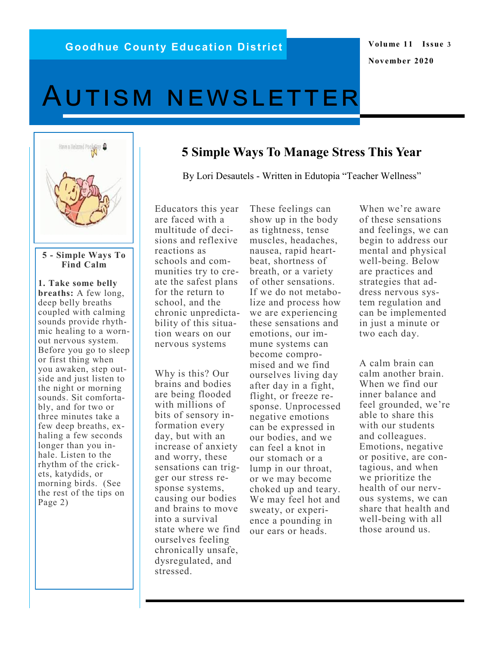# **Volume 11 Issue 3 November 2020**

# Autism newsletter



#### **5 - Simple Ways To Find Calm**

**1. Take some belly breaths:** A few long, deep belly breaths coupled with calming sounds provide rhythmic healing to a wornout nervous system. Before you go to sleep or first thing when you awaken, step outside and just listen to the night or morning sounds. Sit comfortably, and for two or three minutes take a few deep breaths, exhaling a few seconds longer than you inhale. Listen to the rhythm of the crickets, katydids, or morning birds. (See the rest of the tips on Page 2)

Educators this year are faced with a multitude of decisions and reflexive reactions as schools and communities try to create the safest plans for the return to school, and the chronic unpredictability of this situation wears on our nervous systems

Why is this? Our brains and bodies are being flooded with millions of bits of sensory information every day, but with an increase of anxiety and worry, these sensations can trigger our stress response systems, causing our bodies and brains to move into a survival state where we find ourselves feeling chronically unsafe, dysregulated, and stressed.

These feelings can show up in the body as tightness, tense muscles, headaches, nausea, rapid heartbeat, shortness of breath, or a variety of other sensations. If we do not metabolize and process how we are experiencing these sensations and emotions, our immune systems can become compromised and we find ourselves living day after day in a fight, flight, or freeze response. Unprocessed negative emotions can be expressed in our bodies, and we can feel a knot in our stomach or a lump in our throat, or we may become choked up and teary. We may feel hot and sweaty, or experience a pounding in our ears or heads.

**5 Simple Ways To Manage Stress This Year**

By Lori Desautels - Written in Edutopia "Teacher Wellness"

When we're aware of these sensations and feelings, we can begin to address our mental and physical well-being. Below are practices and strategies that address nervous system regulation and can be implemented in just a minute or two each day.

A calm brain can calm another brain. When we find our inner balance and feel grounded, we're able to share this with our students and colleagues. Emotions, negative or positive, are contagious, and when we prioritize the health of our nervous systems, we can share that health and well-being with all those around us.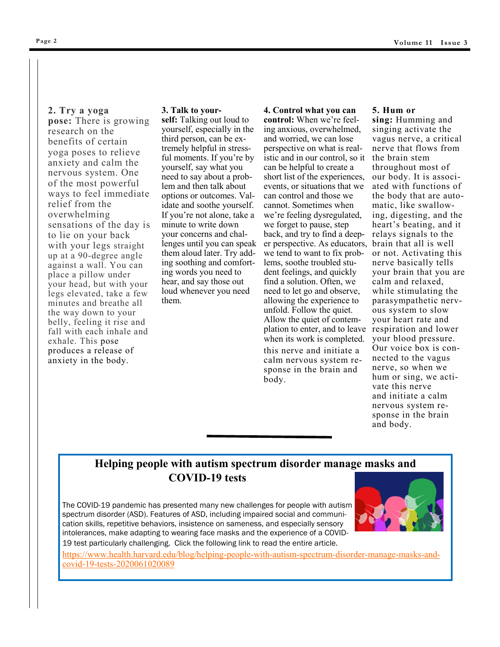#### **2. Try a yoga**

**pose:** There is growing research on the benefits of certain yoga poses to relieve anxiety and calm the nervous system. One of the most powerful ways to feel immediate relief from the overwhelming sensations of the day is to lie on your back with your legs straight up at a 90-degree angle against a wall. You can place a pillow under your head, but with your legs elevated, take a few minutes and breathe all the way down to your belly, feeling it rise and fall with each inhale and exhale. This pose produces a release of anxiety in the body.

#### **3. Talk to your-**

**self:** Talking out loud to yourself, especially in the third person, [can be ex](https://www.today.com/series/one-small-thing/talking-yourself-third-person-can-calm-emotions-t114420)[tremely helpful](https://www.today.com/series/one-small-thing/talking-yourself-third-person-can-calm-emotions-t114420) in stressful moments. If you're by yourself, say what you need to say about a problem and then talk about options or outcomes. Validate and soothe yourself. If you're not alone, take a minute to write down your concerns and challenges until you can speak them aloud later. Try adding soothing and comforting words you need to hear, and say those out loud whenever you need them.

**4. Control what you can control:** When we're feeling anxious, overwhelmed, and worried, we can lose perspective on what is realistic and in our control, so it can be helpful to create a short list of the experiences, events, or situations that we can control and those we cannot. Sometimes when we're feeling dysregulated, we forget to pause, step back, and try to find a deeper perspective. As educators, we tend to want to fix problems, soothe troubled student feelings, and quickly find a solution. Often, we need to let go and observe, allowing the experience to unfold. Follow the quiet. Allow the quiet of contemplation to enter, and to leave respiration and lower when its work is completed. this nerve and [initiate a](https://drprincetta.com/tag/humming/)  [calm nervous system re](https://drprincetta.com/tag/humming/)[sponse](https://drprincetta.com/tag/humming/) in the brain and body.

#### **5. Hum or**

**sing:** Humming and singing activate the vagus nerve, a critical nerve that flows from the brain stem throughout most of our body. It is associated with functions of the body that are automatic, like swallowing, digesting, and the heart's beating, and it relays signals to the brain that all is well or not. Activating this nerve basically tells your brain that you are calm and relaxed, while stimulating the parasympathetic nervous system to slow your heart rate and your blood pressure. Our voice box is connected to the vagus nerve, so when we hum or sing, we activate this nerve and [initiate a calm](https://drprincetta.com/tag/humming/)  [nervous system re](https://drprincetta.com/tag/humming/)[sponse](https://drprincetta.com/tag/humming/) in the brain and body.

# **[He](https://www.health.harvard.edu/blog/helping-people-with-autism-spectrum-disorder-manage-masks-and-covid-19-tests-2020061020089)lping people with autism spectrum disorder manage masks and COVID-19 tests**

The COVID-19 pandemic has presented many new challenges for people with autism spectrum disorder (ASD). Features of ASD, including impaired social and communication skills, repetitive behaviors, insistence on sameness, and especially sensory intolerances, make adapting to wearing face masks and the experience of a COVID-



19 test particularly challenging. Click the following link to read the entire article.

https://www.health.harvard.edu/blog/helping-people-with-autism-spectrum-disorder-manage-masks-andcovid-19-tests-2020061020089